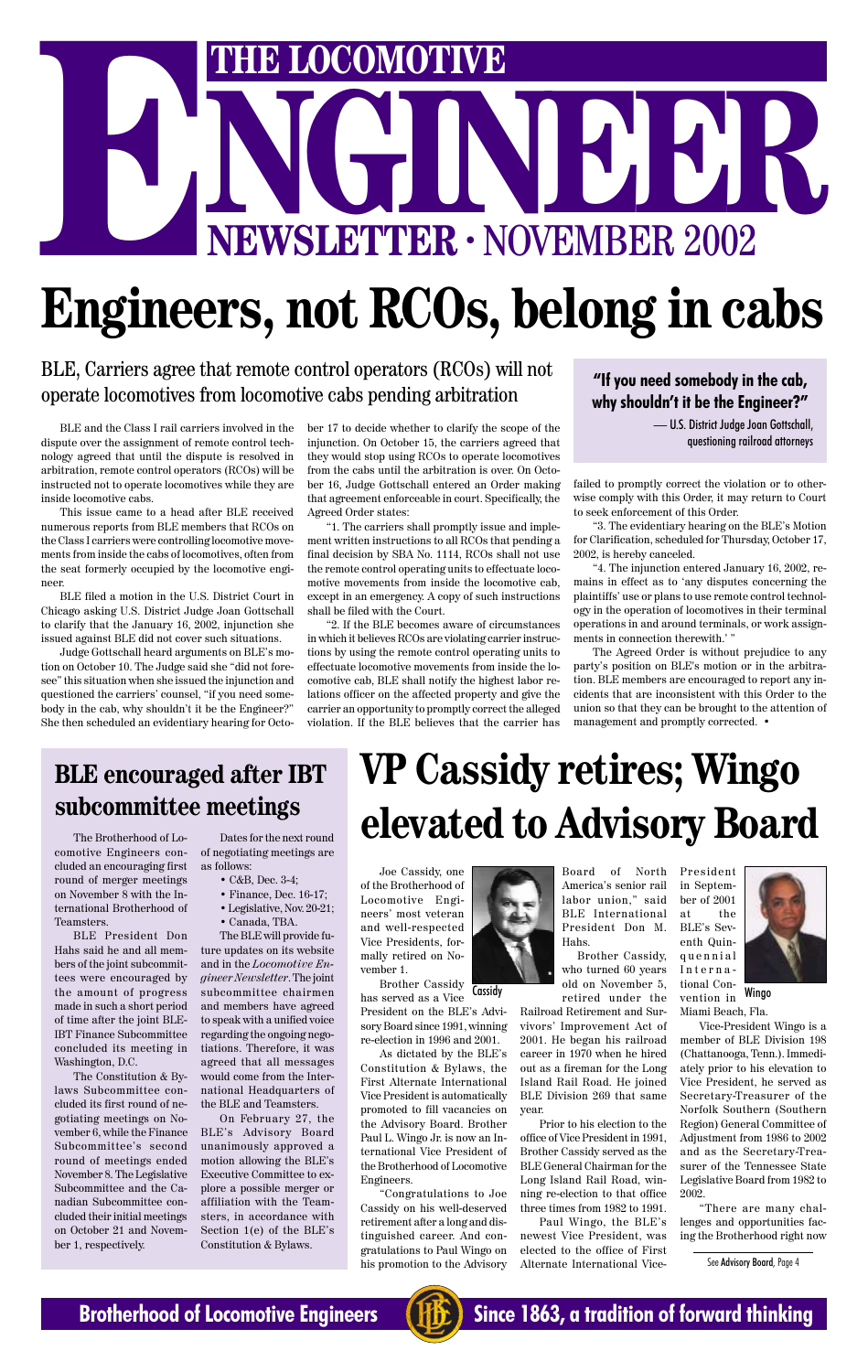# THE LOCOMOTIVE<br>
NEWSLETTER · NOVEMBER 2002 **ENEXAGE AND STRUCTURE IN STRUCT STRUCT STRUCT STRUCT STRUCT STRUCT STRUCT STRUCT STRUCT STRUCT STRUCT STRUCT STRUCT STRUCT STRUCT STRUCT STRUCT STRUCT STRUCT STRUCT STRUCT STRUCT STRUCT STRUCT STRUCT STRUCT STRUCT STRUCT**

# **Engineers, not RCOs, belong in cabs**

BLE and the Class I rail carriers involved in the dispute over the assignment of remote control technology agreed that until the dispute is resolved in arbitration, remote control operators (RCOs) will be instructed not to operate locomotives while they are inside locomotive cabs.

This issue came to a head after BLE received numerous reports from BLE members that RCOs on the Class I carriers were controlling locomotive movements from inside the cabs of locomotives, often from the seat formerly occupied by the locomotive engineer.

BLE filed a motion in the U.S. District Court in Chicago asking U.S. District Judge Joan Gottschall to clarify that the January 16, 2002, injunction she issued against BLE did not cover such situations.

Judge Gottschall heard arguments on BLE's motion on October 10. The Judge said she "did not foresee" this situation when she issued the injunction and questioned the carriers' counsel, "if you need somebody in the cab, why shouldn't it be the Engineer?" She then scheduled an evidentiary hearing for October 17 to decide whether to clarify the scope of the injunction. On October 15, the carriers agreed that they would stop using RCOs to operate locomotives from the cabs until the arbitration is over. On October 16, Judge Gottschall entered an Order making that agreement enforceable in court. Specifically, the Agreed Order states:

BLE, Carriers agree that remote control operators (RCOs) will not operate locomotives from locomotive cabs pending arbitration **"If you need somebody in the cab,**<br>**"If you need somebody in the cab,**<br>why shouldn't it he the Engineer?"

> "1. The carriers shall promptly issue and implement written instructions to all RCOs that pending a final decision by SBA No. 1114, RCOs shall not use the remote control operating units to effectuate locomotive movements from inside the locomotive cab, except in an emergency. A copy of such instructions shall be filed with the Court.

> "2. If the BLE becomes aware of circumstances in which it believes RCOs are violating carrier instructions by using the remote control operating units to effectuate locomotive movements from inside the locomotive cab, BLE shall notify the highest labor relations officer on the affected property and give the carrier an opportunity to promptly correct the alleged violation. If the BLE believes that the carrier has

failed to promptly correct the violation or to otherwise comply with this Order, it may return to Court to seek enforcement of this Order.

"3. The evidentiary hearing on the BLE's Motion for Clarification, scheduled for Thursday, October 17, 2002, is hereby canceled.

"4. The injunction entered January 16, 2002, remains in effect as to 'any disputes concerning the plaintiffs' use or plans to use remote control technology in the operation of locomotives in their terminal operations in and around terminals, or work assignments in connection therewith.' "

The Agreed Order is without prejudice to any party's position on BLE's motion or in the arbitration. BLE members are encouraged to report any incidents that are inconsistent with this Order to the union so that they can be brought to the attention of management and promptly corrected. •

**why shouldn't it be the Engineer?"**

— U.S. District Judge Joan Gottschall, questioning railroad attorneys

#### **BLE encouraged after IBT subcommittee meetings**

# **VP Cassidy retires; Wingo elevated to Advisory Board**

Joe Cassidy, one of the Brotherhood of Locomotive Engineers' most veteran and well-respected Vice Presidents, formally retired on November 1.

Brother Cassidy has served as a Vice President on the BLE's Advisory Board since 1991, winning re-election in 1996 and 2001.



As dictated by the BLE's Constitution & Bylaws, the First Alternate International Vice President is automatically promoted to fill vacancies on the Advisory Board. Brother Paul L. Wingo Jr. is now an International Vice President of the Brotherhood of Locomotive Engineers.

"Congratulations to Joe Cassidy on his well-deserved retirement after a long and distinguished career. And congratulations to Paul Wingo on his promotion to the Advisory

Board of North America's senior rail labor union," said BLE International President Don M. Hahs.

Brother Cassidy, who turned 60 years old on November 5, Cassidy on November 3, tional con-<br>retired under the vention in Wingo Railroad Retirement and Survivors' Improvement Act of 2001. He began his railroad career in 1970 when he hired out as a fireman for the Long Island Rail Road. He joined BLE Division 269 that same year. International Convention in

> Prior to his election to the office of Vice President in 1991, Brother Cassidy served as the BLE General Chairman for the Long Island Rail Road, winning re-election to that office three times from 1982 to 1991.

> Paul Wingo, the BLE's newest Vice President, was elected to the office of First Alternate International Vice-



Miami Beach, Fla.

Vice-President Wingo is a member of BLE Division 198 (Chattanooga, Tenn.). Immediately prior to his elevation to Vice President, he served as Secretary-Treasurer of the Norfolk Southern (Southern Region) General Committee of Adjustment from 1986 to 2002 and as the Secretary-Treasurer of the Tennessee State Legislative Board from 1982 to 2002.

"There are many challenges and opportunities facing the Brotherhood right now

See Advisory Board, Page 4



**Brotherhood of Locomotive Engineers (HE)** Since 1863, a tradition of forward thinking

The Brotherhood of Locomotive Engineers concluded an encouraging first round of merger meetings on November 8 with the International Brotherhood of Teamsters.

BLE President Don Hahs said he and all members of the joint subcommittees were encouraged by the amount of progress made in such a short period of time after the joint BLE-IBT Finance Subcommittee concluded its meeting in Washington, D.C. The Constitution & Bylaws Subcommittee concluded its first round of negotiating meetings on November 6, while the Finance Subcommittee's second round of meetings ended November 8. The Legislative Subcommittee and the Canadian Subcommittee concluded their initial meetings on October 21 and November 1, respectively.

Dates for the next round of negotiating meetings are as follows:

- C&B, Dec. 3-4;
- Finance, Dec. 16-17;
- Legislative, Nov. 20-21;
- Canada, TBA.

The BLE will provide future updates on its website and in the *Locomotive Engineer Newsletter*. The joint subcommittee chairmen and members have agreed to speak with a unified voice regarding the ongoing negotiations. Therefore, it was agreed that all messages would come from the International Headquarters of the BLE and Teamsters.

On February 27, the BLE's Advisory Board unanimously approved a motion allowing the BLE's Executive Committee to explore a possible merger or affiliation with the Teamsters, in accordance with Section 1(e) of the BLE's Constitution & Bylaws.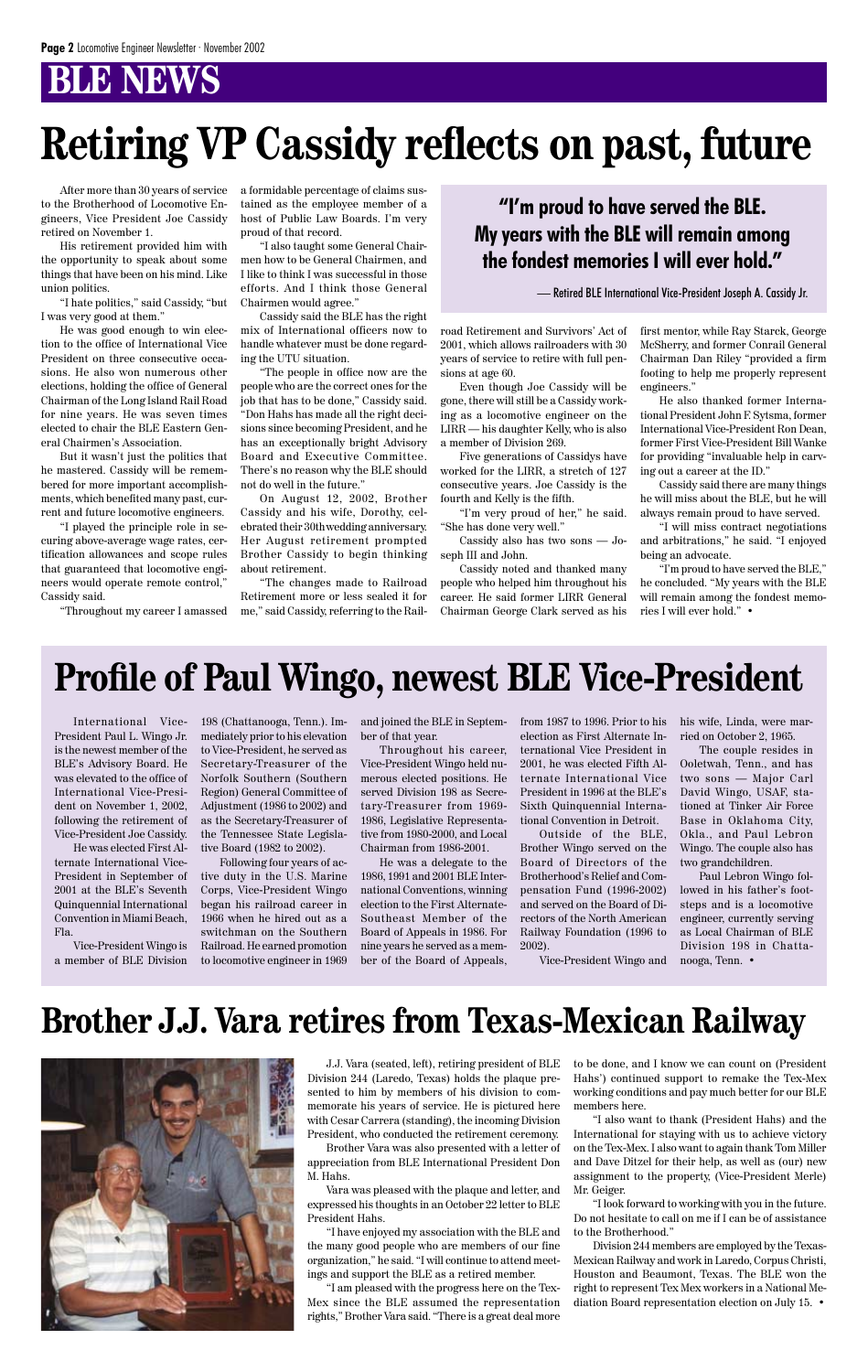## *B* NEWS

After more than 30 years of service to the Brotherhood of Locomotive Engineers, Vice President Joe Cassidy retired on November 1.

His retirement provided him with the opportunity to speak about some things that have been on his mind. Like union politics.

"I hate politics," said Cassidy, "but I was very good at them."

He was good enough to win election to the office of International Vice President on three consecutive occasions. He also won numerous other elections, holding the office of General Chairman of the Long Island Rail Road for nine years. He was seven times elected to chair the BLE Eastern General Chairmen's Association.

But it wasn't just the politics that he mastered. Cassidy will be remembered for more important accomplishments, which benefited many past, current and future locomotive engineers.

"I played the principle role in securing above-average wage rates, certification allowances and scope rules that guaranteed that locomotive engineers would operate remote control," Cassidy said.

"Throughout my career I amassed

a formidable percentage of claims sustained as the employee member of a host of Public Law Boards. I'm very proud of that record.

"I also taught some General Chairmen how to be General Chairmen, and I like to think I was successful in those efforts. And I think those General Chairmen would agree."

Cassidy said the BLE has the right mix of International officers now to handle whatever must be done regarding the UTU situation.

"The people in office now are the people who are the correct ones for the job that has to be done," Cassidy said. "Don Hahs has made all the right decisions since becoming President, and he has an exceptionally bright Advisory Board and Executive Committee. There's no reason why the BLE should not do well in the future."

On August 12, 2002, Brother Cassidy and his wife, Dorothy, celebrated their 30thwedding anniversary. Her August retirement prompted Brother Cassidy to begin thinking about retirement.

"The changes made to Railroad Retirement more or less sealed it for me," said Cassidy, referring to the Rail-

road Retirement and Survivors' Act of 2001, which allows railroaders with 30 years of service to retire with full pensions at age 60.

Even though Joe Cassidy will be gone, there will still be a Cassidy working as a locomotive engineer on the LIRR — his daughter Kelly, who is also a member of Division 269.

Five generations of Cassidys have worked for the LIRR, a stretch of 127 consecutive years. Joe Cassidy is the fourth and Kelly is the fifth.

"I'm very proud of her," he said. "She has done very well."

Cassidy also has two sons — Joseph III and John.

Cassidy noted and thanked many people who helped him throughout his career. He said former LIRR General Chairman George Clark served as his first mentor, while Ray Starck, George McSherry, and former Conrail General Chairman Dan Riley "provided a firm footing to help me properly represent engineers."

He also thanked former International President John F. Sytsma, former International Vice-President Ron Dean, former First Vice-President Bill Wanke for providing "invaluable help in carving out a career at the ID."

Cassidy said there are many things he will miss about the BLE, but he will always remain proud to have served.

"I will miss contract negotiations and arbitrations," he said. "I enjoyed being an advocate.

"I'm proud to have served the BLE," he concluded. "My years with the BLE will remain among the fondest memories I will ever hold." •

International Vice-President Paul L. Wingo Jr. is the newest member of the BLE's Advisory Board. He was elevated to the office of International Vice-President on November 1, 2002, following the retirement of Vice-President Joe Cassidy.

He was elected First Alternate International Vice-President in September of 2001 at the BLE's Seventh Quinquennial International Convention in Miami Beach, Fla.

Vice-President Wingo is a member of BLE Division

# **Retiring VP Cassidy reflects on past, future**

198 (Chattanooga, Tenn.). Immediately prior to his elevation to Vice-President, he served as Secretary-Treasurer of the Norfolk Southern (Southern Region) General Committee of Adjustment (1986 to 2002) and as the Secretary-Treasurer of the Tennessee State Legislative Board (1982 to 2002).

Following four years of active duty in the U.S. Marine Corps, Vice-President Wingo began his railroad career in 1966 when he hired out as a switchman on the Southern Railroad. He earned promotion to locomotive engineer in 1969

and joined the BLE in September of that year.

Throughout his career, Vice-President Wingo held numerous elected positions. He served Division 198 as Secretary-Treasurer from 1969- 1986, Legislative Representative from 1980-2000, and Local Chairman from 1986-2001.

He was a delegate to the 1986, 1991 and 2001 BLE International Conventions, winning election to the First Alternate-Southeast Member of the Board of Appeals in 1986. For nine years he served as a member of the Board of Appeals, from 1987 to 1996. Prior to his election as First Alternate International Vice President in 2001, he was elected Fifth Alternate International Vice President in 1996 at the BLE's Sixth Quinquennial International Convention in Detroit.

Outside of the BLE, Brother Wingo served on the Board of Directors of the Brotherhood's Relief and Compensation Fund (1996-2002) and served on the Board of Directors of the North American Railway Foundation (1996 to 2002).

Vice-President Wingo and

J.J. Vara (seated, left), retiring president of BLE Division 244 (Laredo, Texas) holds the plaque presented to him by members of his division to commemorate his years of service. He is pictured here with Cesar Carrera (standing), the incoming Division President, who conducted the retirement ceremony.

Brother Vara was also presented with a letter of appreciation from BLE International President Don M. Hahs.

Vara was pleased with the plaque and letter, and expressed his thoughts in an October 22 letter to BLE President Hahs.

"I have enjoyed my association with the BLE and the many good people who are members of our fine organization," he said. "I will continue to attend meetings and support the BLE as a retired member.

"I am pleased with the progress here on the Tex-Mex since the BLE assumed the representation rights," Brother Vara said. "There is a great deal more to be done, and I know we can count on (President Hahs') continued support to remake the Tex-Mex working conditions and pay much better for our BLE members here.

"I also want to thank (President Hahs) and the International for staying with us to achieve victory on the Tex-Mex. I also want to again thank Tom Miller and Dave Ditzel for their help, as well as (our) new assignment to the property, (Vice-President Merle) Mr. Geiger.

"I look forward to working with you in the future. Do not hesitate to call on me if I can be of assistance to the Brotherhood."

Division 244 members are employed by the Texas-Mexican Railway and work in Laredo, Corpus Christi, Houston and Beaumont, Texas. The BLE won the right to represent Tex Mex workers in a National Mediation Board representation election on July 15. •

## **Brother J.J. Vara retires from Texas-Mexican Railway**



his wife, Linda, were married on October 2, 1965.

The couple resides in Ooletwah, Tenn., and has two sons — Major Carl David Wingo, USAF, stationed at Tinker Air Force Base in Oklahoma City, Okla., and Paul Lebron Wingo. The couple also has two grandchildren.

Paul Lebron Wingo followed in his father's footsteps and is a locomotive engineer, currently serving as Local Chairman of BLE Division 198 in Chattanooga, Tenn. •

# **Profile of Paul Wingo, newest BLE Vice-President**

#### **"I'm proud to have served the BLE. My years with the BLE will remain among the fondest memories I will ever hold."**

— Retired BLE International Vice-President Joseph A. Cassidy Jr.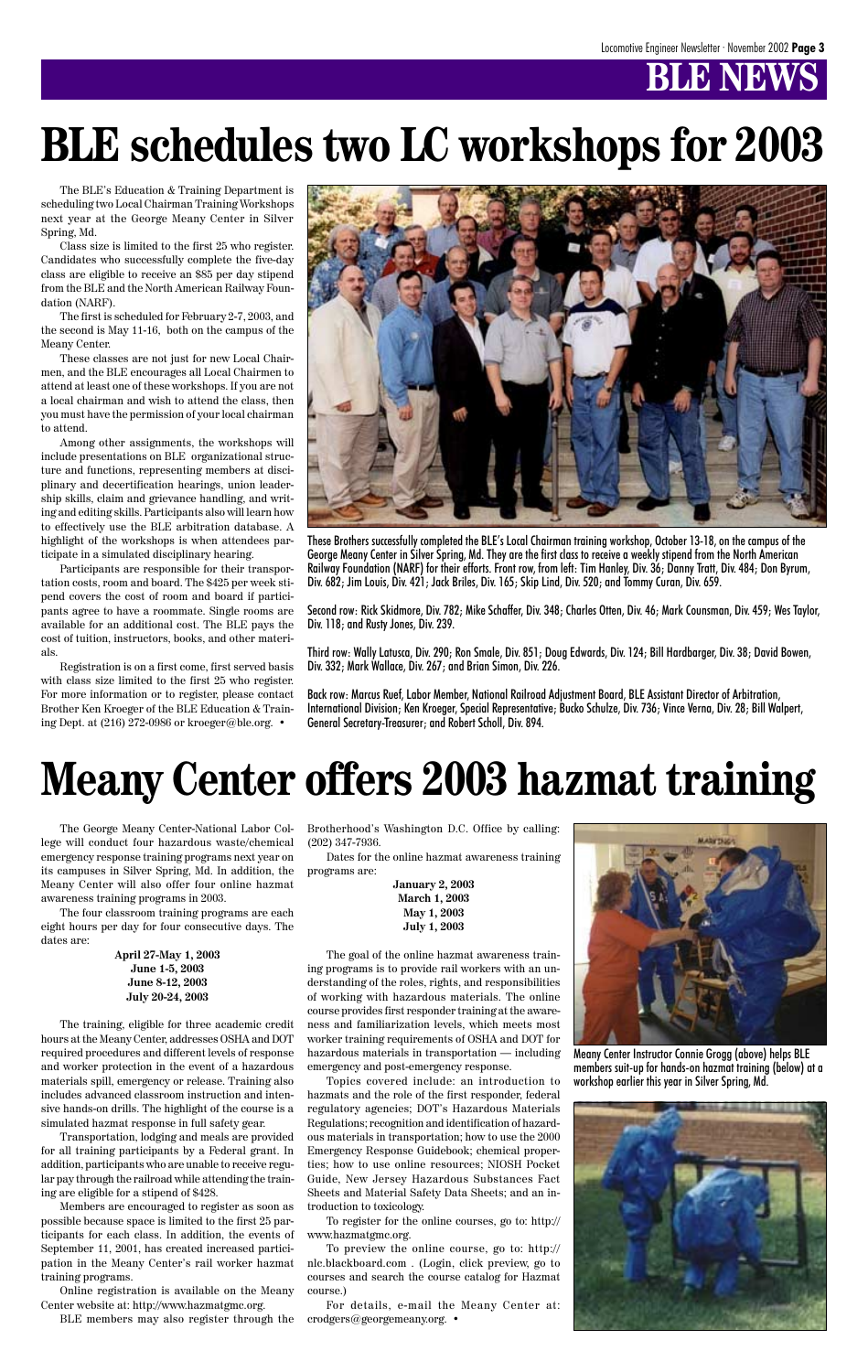# **BB NEW**

The George Meany Center-National Labor College will conduct four hazardous waste/chemical emergency response training programs next year on its campuses in Silver Spring, Md. In addition, the Meany Center will also offer four online hazmat awareness training programs in 2003.

The four classroom training programs are each eight hours per day for four consecutive days. The dates are:

> **April 27-May 1, 2003 June 1-5, 2003 June 8-12, 2003 July 20-24, 2003**

The training, eligible for three academic credit hours at the Meany Center, addresses OSHA and DOT required procedures and different levels of response and worker protection in the event of a hazardous materials spill, emergency or release. Training also includes advanced classroom instruction and intensive hands-on drills. The highlight of the course is a simulated hazmat response in full safety gear.

Transportation, lodging and meals are provided for all training participants by a Federal grant. In addition, participants who are unable to receive regular pay through the railroad while attending the training are eligible for a stipend of \$428.

Members are encouraged to register as soon as possible because space is limited to the first 25 participants for each class. In addition, the events of September 11, 2001, has created increased participation in the Meany Center's rail worker hazmat training programs.

Online registration is available on the Meany Center website at: http://www.hazmatgmc.org.

BLE members may also register through the

Brotherhood's Washington D.C. Office by calling: (202) 347-7936.

Dates for the online hazmat awareness training programs are:

> **January 2, 2003 March 1, 2003 May 1, 2003 July 1, 2003**

The goal of the online hazmat awareness training programs is to provide rail workers with an understanding of the roles, rights, and responsibilities of working with hazardous materials. The online course provides first responder training at the awareness and familiarization levels, which meets most worker training requirements of OSHA and DOT for hazardous materials in transportation — including emergency and post-emergency response. Topics covered include: an introduction to hazmats and the role of the first responder, federal regulatory agencies; DOT's Hazardous Materials Regulations; recognition and identification of hazardous materials in transportation; how to use the 2000 Emergency Response Guidebook; chemical properties; how to use online resources; NIOSH Pocket Guide, New Jersey Hazardous Substances Fact Sheets and Material Safety Data Sheets; and an introduction to toxicology.



To register for the online courses, go to: http:// www.hazmatgmc.org.

To preview the online course, go to: http:// nlc.blackboard.com . (Login, click preview, go to courses and search the course catalog for Hazmat course.)

For details, e-mail the Meany Center at: crodgers@georgemeany.org. •

# **Meany Center offers 2003 hazmat training**

The BLE's Education & Training Department is scheduling two Local Chairman Training Workshops next year at the George Meany Center in Silver Spring, Md.

Class size is limited to the first 25 who register. Candidates who successfully complete the five-day class are eligible to receive an \$85 per day stipend from the BLE and the North American Railway Foundation (NARF).

The first is scheduled for February 2-7, 2003, and the second is May 11-16, both on the campus of the Meany Center.

These classes are not just for new Local Chairmen, and the BLE encourages all Local Chairmen to attend at least one of these workshops. If you are not a local chairman and wish to attend the class, then you must have the permission of your local chairman to attend.

Among other assignments, the workshops will include presentations on BLE organizational structure and functions, representing members at disciplinary and decertification hearings, union leadership skills, claim and grievance handling, and writing and editing skills. Participants also will learn how to effectively use the BLE arbitration database. A highlight of the workshops is when attendees participate in a simulated disciplinary hearing.

Participants are responsible for their transportation costs, room and board. The \$425 per week stipend covers the cost of room and board if participants agree to have a roommate. Single rooms are available for an additional cost. The BLE pays the cost of tuition, instructors, books, and other materials.

Registration is on a first come, first served basis with class size limited to the first 25 who register. For more information or to register, please contact Brother Ken Kroeger of the BLE Education & Training Dept. at (216) 272-0986 or kroeger@ble.org. •



# **BLE schedules two LC workshops for 2003**

These Brothers successfully completed the BLE's Local Chairman training workshop, October 13-18, on the campus of the George Meany Center in Silver Spring, Md. They are the first class to receive a weekly stipend from the North American Railway Foundation (NARF) for their efforts. Front row, from left: Tim Hanley, Div. 36; Danny Tratt, Div. 484; Don Byrum, Div. 682; Jim Louis, Div. 421; Jack Briles, Div. 165; Skip Lind, Div. 520; and Tommy Curan, Div. 659.

Second row: Rick Skidmore, Div. 782; Mike Schaffer, Div. 348; Charles Otten, Div. 46; Mark Counsman, Div. 459; Wes Taylor, Div. 118; and Rusty Jones, Div. 239.

Third row: Wally Latusca, Div. 290; Ron Smale, Div. 851; Doug Edwards, Div. 124; Bill Hardbarger, Div. 38; David Bowen, Div. 332; Mark Wallace, Div. 267; and Brian Simon, Div. 226.

Back row: Marcus Ruef, Labor Member, National Railroad Adjustment Board, BLE Assistant Director of Arbitration, International Division; Ken Kroeger, Special Representative; Bucko Schulze, Div. 736; Vince Verna, Div. 28; Bill Walpert, General Secretary-Treasurer; and Robert Scholl, Div. 894.

Meany Center Instructor Connie Grogg (above) helps BLE members suit-up for hands-on hazmat training (below) at a workshop earlier this year in Silver Spring, Md.

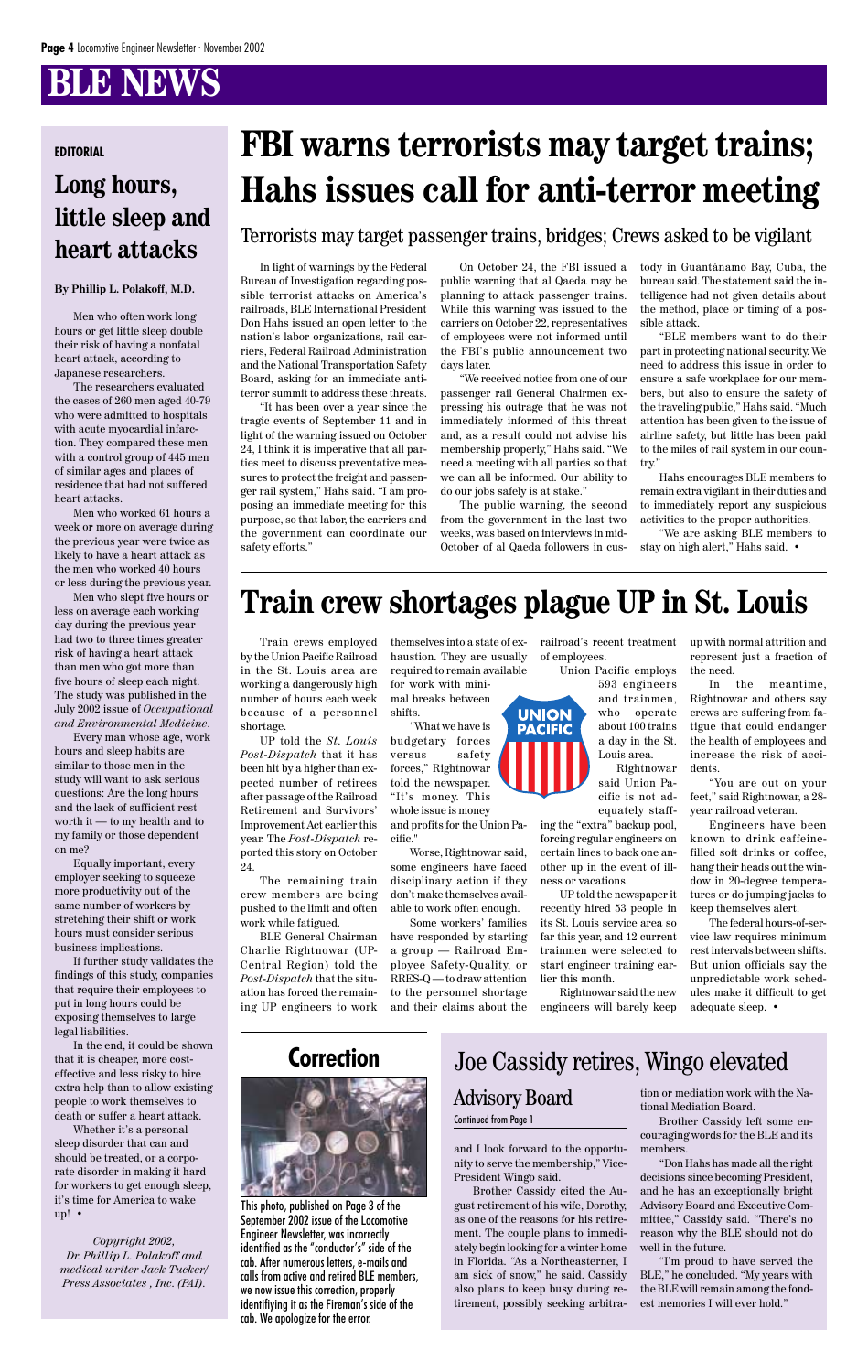# **BLE NEWS**

#### **By Phillip L. Polakoff, M.D.**

Men who often work long hours or get little sleep double their risk of having a nonfatal heart attack, according to Japanese researchers.

The researchers evaluated the cases of 260 men aged 40-79 who were admitted to hospitals with acute myocardial infarction. They compared these men with a control group of 445 men of similar ages and places of residence that had not suffered heart attacks.

Men who worked 61 hours a week or more on average during the previous year were twice as likely to have a heart attack as the men who worked 40 hours or less during the previous year.

Men who slept five hours or less on average each working day during the previous year had two to three times greater risk of having a heart attack than men who got more than five hours of sleep each night. The study was published in the July 2002 issue of *Occupational and Environmental Medicine*.

Every man whose age, work hours and sleep habits are similar to those men in the study will want to ask serious questions: Are the long hours and the lack of sufficient rest worth it — to my health and to my family or those dependent on me?

Equally important, every employer seeking to squeeze more productivity out of the same number of workers by stretching their shift or work hours must consider serious business implications.

If further study validates the findings of this study, companies that require their employees to put in long hours could be

exposing themselves to large legal liabilities.

In the end, it could be shown that it is cheaper, more costeffective and less risky to hire extra help than to allow existing people to work themselves to death or suffer a heart attack.

Whether it's a personal sleep disorder that can and should be treated, or a corporate disorder in making it hard for workers to get enough sleep, it's time for America to wake up! •

*Copyright 2002, Dr. Phillip L. Polakoff and medical writer Jack Tucker/ Press Associates , Inc. (PAI).*

## **Long hours, little sleep and heart attacks**

# **EDITORIAL FBI warns terrorists may target trains; Hahs issues call for anti-terror meeting**

In light of warnings by the Federal Bureau of Investigation regarding possible terrorist attacks on America's railroads, BLE International President Don Hahs issued an open letter to the nation's labor organizations, rail carriers, Federal Railroad Administration and the National Transportation Safety Board, asking for an immediate antiterror summit to address these threats.

"It has been over a year since the tragic events of September 11 and in light of the warning issued on October 24, I think it is imperative that all parties meet to discuss preventative measures to protect the freight and passenger rail system," Hahs said. "I am proposing an immediate meeting for this purpose, so that labor, the carriers and the government can coordinate our safety efforts."

## **Train crew shortages plague UP in St. Louis**

On October 24, the FBI issued a public warning that al Qaeda may be planning to attack passenger trains. While this warning was issued to the carriers on October 22, representatives of employees were not informed until the FBI's public announcement two days later.

"We received notice from one of our passenger rail General Chairmen expressing his outrage that he was not immediately informed of this threat and, as a result could not advise his membership properly," Hahs said. "We need a meeting with all parties so that we can all be informed. Our ability to do our jobs safely is at stake."

The public warning, the second from the government in the last two weeks, was based on interviews in mid-October of al Qaeda followers in custody in Guantánamo Bay, Cuba, the bureau said. The statement said the intelligence had not given details about the method, place or timing of a possible attack.

"BLE members want to do their part in protecting national security. We need to address this issue in order to ensure a safe workplace for our members, but also to ensure the safety of the traveling public," Hahs said. "Much attention has been given to the issue of airline safety, but little has been paid to the miles of rail system in our country."

Hahs encourages BLE members to remain extra vigilant in their duties and to immediately report any suspicious activities to the proper authorities.

"We are asking BLE members to stay on high alert," Hahs said. •

Terrorists may target passenger trains, bridges; Crews asked to be vigilant

Train crews employed by the Union Pacific Railroad in the St. Louis area are working a dangerously high number of hours each week because of a personnel shortage.

UP told the *St. Louis Post-Dispatch* that it has been hit by a higher than expected number of retirees after passage of the Railroad Retirement and Survivors' Improvement Act earlier this year. The *Post-Dispatch* reported this story on October 24.

The remaining train crew members are being pushed to the limit and often work while fatigued.

BLE General Chairman Charlie Rightnowar (UP-Central Region) told the *Post-Dispatch* that the situation has forced the remaining UP engineers to work

themselves into a state of exhaustion. They are usually required to remain available for work with mini-

mal breaks between shifts.

"What we have is budgetary forces versus safety forces," Rightnowar told the newspaper. "It's money. This whole issue is money and profits for the Union Pacific."

Worse, Rightnowar said, some engineers have faced disciplinary action if they don't make themselves available to work often enough.

Some workers' families have responded by starting a group — Railroad Employee Safety-Quality, or RRES-Q — to draw attention to the personnel shortage and their claims about the railroad's recent treatment of employees.

Union Pacific employs

593 engineers and trainmen, who operate about 100 trains a day in the St. Louis area. Rightnowar

said Union Pacific is not adequately staff-

ing the "extra" backup pool, forcing regular engineers on certain lines to back one another up in the event of illness or vacations.

UP told the newspaper it recently hired 53 people in its St. Louis service area so far this year, and 12 current trainmen were selected to start engineer training earlier this month.

Rightnowar said the new engineers will barely keep

up with normal attrition and represent just a fraction of the need.

In the meantime, Rightnowar and others say crews are suffering from fatigue that could endanger the health of employees and increase the risk of accidents.

"You are out on your feet," said Rightnowar, a 28 year railroad veteran.

Engineers have been known to drink caffeinefilled soft drinks or coffee, hang their heads out the window in 20-degree temperatures or do jumping jacks to keep themselves alert.

The federal hours-of-service law requires minimum rest intervals between shifts. But union officials say the unpredictable work schedules make it difficult to get adequate sleep. •



#### **Correction**



This photo, published on Page 3 of the September 2002 issue of the Locomotive Engineer Newsletter, was incorrectly identified as the "conductor's" side of the cab. After numerous letters, e-mails and calls from active and retired BLE members, we now issue this correction, properly identifiying it as the Fireman's side of the cab. We apologize for the error.

and I look forward to the opportunity to serve the membership," Vice-President Wingo said.

Brother Cassidy cited the August retirement of his wife, Dorothy, as one of the reasons for his retirement. The couple plans to immediately begin looking for a winter home in Florida. "As a Northeasterner, I am sick of snow," he said. Cassidy also plans to keep busy during retirement, possibly seeking arbitration or mediation work with the National Mediation Board.

Brother Cassidy left some encouraging words for the BLE and its members.

"Don Hahs has made all the right decisions since becoming President, and he has an exceptionally bright Advisory Board and Executive Committee," Cassidy said. "There's no reason why the BLE should not do well in the future.

"I'm proud to have served the BLE," he concluded. "My years with the BLE will remain among the fondest memories I will ever hold."

#### Joe Cassidy retires, Wingo elevated

#### Advisory Board

#### Continued from Page 1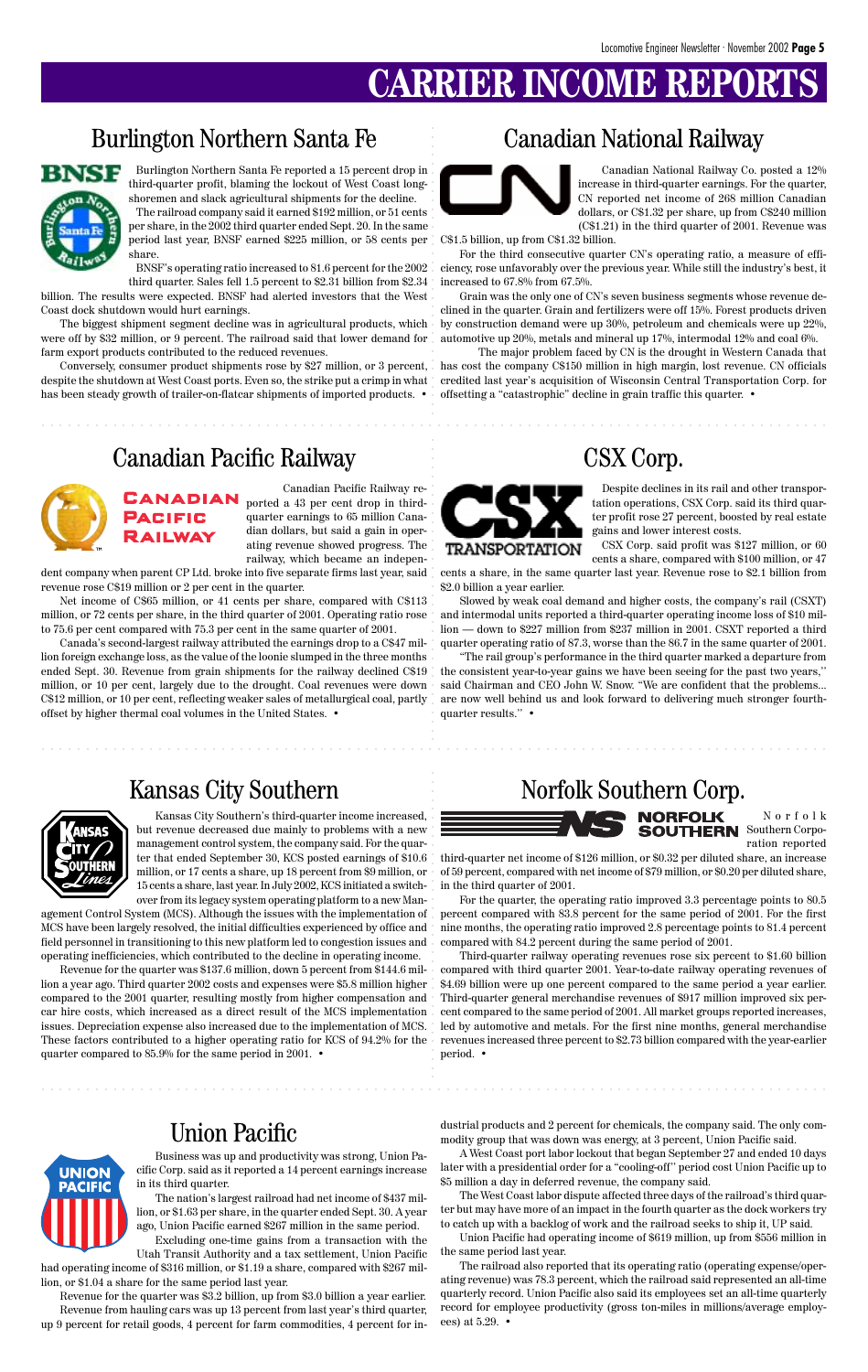# **CARRIER INCOME**

Burlington Northern Santa Fe reported a 15 percent drop in third-quarter profit, blaming the lockout of West Coast longshoremen and slack agricultural shipments for the decline.

The railroad company said it earned \$192 million, or 51 cents per share, in the 2002 third quarter ended Sept. 20. In the same period last year, BNSF earned \$225 million, or 58 cents per share.

Conversely, consumer product shipments rose by \$27 million, or 3 percent, despite the shutdown at West Coast ports. Even so, the strike put a crimp in what has been steady growth of trailer-on-flatcar shipments of imported products. •

BNSF's operating ratio increased to 81.6 percent for the 2002 third quarter. Sales fell 1.5 percent to \$2.31 billion from \$2.34

billion. The results were expected. BNSF had alerted investors that the West Coast dock shutdown would hurt earnings.

The biggest shipment segment decline was in agricultural products, which were off by \$32 million, or 9 percent. The railroad said that lower demand for farm export products contributed to the reduced revenues.

#### Burlington Northern Santa Fe



aaaaaaaaaaaaaaaaaaaaaaaaaaaaaaaaaaaaaaaaaaaaaaaaaaaaaaaaaaaaaaaaa aaaaaaaaaaaaaaaaaaaaaaa

#### Canadian National Railway

Canadian National Railway Co. posted a 12% increase in third-quarter earnings. For the quarter, CN reported net income of 268 million Canadian dollars, or C\$1.32 per share, up from C\$240 million (C\$1.21) in the third quarter of 2001. Revenue was

C\$1.5 billion, up from C\$1.32 billion.

For the third consecutive quarter CN's operating ratio, a measure of efficiency, rose unfavorably over the previous year. While still the industry's best, it increased to 67.8% from 67.5%.

Grain was the only one of CN's seven business segments whose revenue declined in the quarter. Grain and fertilizers were off 15%. Forest products driven by construction demand were up 30%, petroleum and chemicals were up 22%, automotive up 20%, metals and mineral up 17%, intermodal 12% and coal 6%.

The major problem faced by CN is the drought in Western Canada that has cost the company C\$150 million in high margin, lost revenue. CN officials credited last year's acquisition of Wisconsin Central Transportation Corp. for offsetting a "catastrophic" decline in grain traffic this quarter. •

#### Canadian Pacific Railway CSX Corp.



Canadian Pacific Railway re-**CANADIAN** ported a 43 per cent drop in thirdquarter earnings to 65 million Canadian dollars, but said a gain in operating revenue showed progress. The railway, which became an indepen-

dent company when parent CP Ltd. broke into five separate firms last year, said revenue rose C\$19 million or 2 per cent in the quarter.

**PACIFIC** RAILWAY

Net income of C\$65 million, or 41 cents per share, compared with C\$113 million, or 72 cents per share, in the third quarter of 2001. Operating ratio rose to 75.6 per cent compared with 75.3 per cent in the same quarter of 2001.

had operating income of \$316 million, or \$1.19 a share, compared with \$267 million, or \$1.04 a share for the same period last year.

Canada's second-largest railway attributed the earnings drop to a C\$47 million foreign exchange loss, as the value of the loonie slumped in the three months ended Sept. 30. Revenue from grain shipments for the railway declined C\$19 million, or 10 per cent, largely due to the drought. Coal revenues were down C\$12 million, or 10 per cent, reflecting weaker sales of metallurgical coal, partly offset by higher thermal coal volumes in the United States. •



Despite declines in its rail and other transportation operations, CSX Corp. said its third quarter profit rose 27 percent, boosted by real estate gains and lower interest costs.

CSX Corp. said profit was \$127 million, or 60 cents a share, compared with \$100 million, or 47

cents a share, in the same quarter last year. Revenue rose to \$2.1 billion from \$2.0 billion a year earlier.

Slowed by weak coal demand and higher costs, the company's rail (CSXT) and intermodal units reported a third-quarter operating income loss of \$10 million — down to \$227 million from \$237 million in 2001. CSXT reported a third quarter operating ratio of 87.3, worse than the 86.7 in the same quarter of 2001.

"The rail group's performance in the third quarter marked a departure from the consistent year-to-year gains we have been seeing for the past two years,'' said Chairman and CEO John W. Snow. "We are confident that the problems... are now well behind us and look forward to delivering much stronger fourthquarter results.'' •





Norfolk ration reported

third-quarter net income of \$126 million, or \$0.32 per diluted share, an increase of 59 percent, compared with net income of \$79 million, or \$0.20 per diluted share, in the third quarter of 2001.

For the quarter, the operating ratio improved 3.3 percentage points to 80.5 percent compared with 83.8 percent for the same period of 2001. For the first nine months, the operating ratio improved 2.8 percentage points to 81.4 percent compared with 84.2 percent during the same period of 2001.

Third-quarter railway operating revenues rose six percent to \$1.60 billion compared with third quarter 2001. Year-to-date railway operating revenues of \$4.69 billion were up one percent compared to the same period a year earlier. Third-quarter general merchandise revenues of \$917 million improved six percent compared to the same period of 2001. All market groups reported increases, led by automotive and metals. For the first nine months, general merchandise revenues increased three percent to \$2.73 billion compared with the year-earlier period. •

aaaaaaaaaaaaaaaaaaaaaaaaaaaaaaaaaaaaaaaaaaaaaaaaaaaaaaaaaaaaaaaaa aaaaaaaaaaaaaaaaaaaaaaa

aaaaaaaaaaaaaaaaaaaaaaaaaaaaaaaaaaaaaaaaaaaaaaaaaaaaaaaaaaaaaaaaa aaaaaaaaaaaaaaaaaaaaaaa

#### Union Pacific

Business was up and productivity was strong, Union Pacific Corp. said as it reported a 14 percent earnings increase in its third quarter.

The nation's largest railroad had net income of \$437 million, or \$1.63 per share, in the quarter ended Sept. 30. A year ago, Union Pacific earned \$267 million in the same period.

Excluding one-time gains from a transaction with the Utah Transit Authority and a tax settlement, Union Pacific

Revenue for the quarter was \$3.2 billion, up from \$3.0 billion a year earlier. Revenue from hauling cars was up 13 percent from last year's third quarter, up 9 percent for retail goods, 4 percent for farm commodities, 4 percent for industrial products and 2 percent for chemicals, the company said. The only commodity group that was down was energy, at 3 percent, Union Pacific said.

A West Coast port labor lockout that began September 27 and ended 10 days later with a presidential order for a "cooling-off'' period cost Union Pacific up to \$5 million a day in deferred revenue, the company said.

The West Coast labor dispute affected three days of the railroad's third quarter but may have more of an impact in the fourth quarter as the dock workers try to catch up with a backlog of work and the railroad seeks to ship it, UP said.

Union Pacific had operating income of \$619 million, up from \$556 million in the same period last year.

The railroad also reported that its operating ratio (operating expense/operating revenue) was 78.3 percent, which the railroad said represented an all-time quarterly record. Union Pacific also said its employees set an all-time quarterly record for employee productivity (gross ton-miles in millions/average employees) at 5.29. •



aaaaaaaaa

aaaaaaaaaaaaaaaaaaaaaaaa

aaaaaaaaaaaaaaa

aaaaaaaaaaaaaaaaaaa

aaaaaaaaaaaaaaa

aaaaaaaaaaaaaaaaaaaa

Kansas City Southern's third-quarter income increased, but revenue decreased due mainly to problems with a new management control system, the company said. For the quarter that ended September 30, KCS posted earnings of \$10.6 million, or 17 cents a share, up 18 percent from \$9 million, or 15 cents a share, last year. In July 2002, KCS initiated a switchover from its legacy system operating platform to a new Man-

agement Control System (MCS). Although the issues with the implementation of MCS have been largely resolved, the initial difficulties experienced by office and field personnel in transitioning to this new platform led to congestion issues and operating inefficiencies, which contributed to the decline in operating income.

Revenue for the quarter was \$137.6 million, down 5 percent from \$144.6 million a year ago. Third quarter 2002 costs and expenses were \$5.8 million higher compared to the 2001 quarter, resulting mostly from higher compensation and car hire costs, which increased as a direct result of the MCS implementation issues. Depreciation expense also increased due to the implementation of MCS. These factors contributed to a higher operating ratio for KCS of 94.2% for the quarter compared to 85.9% for the same period in 2001. •

### Kansas City Southern Norfolk Southern Corp.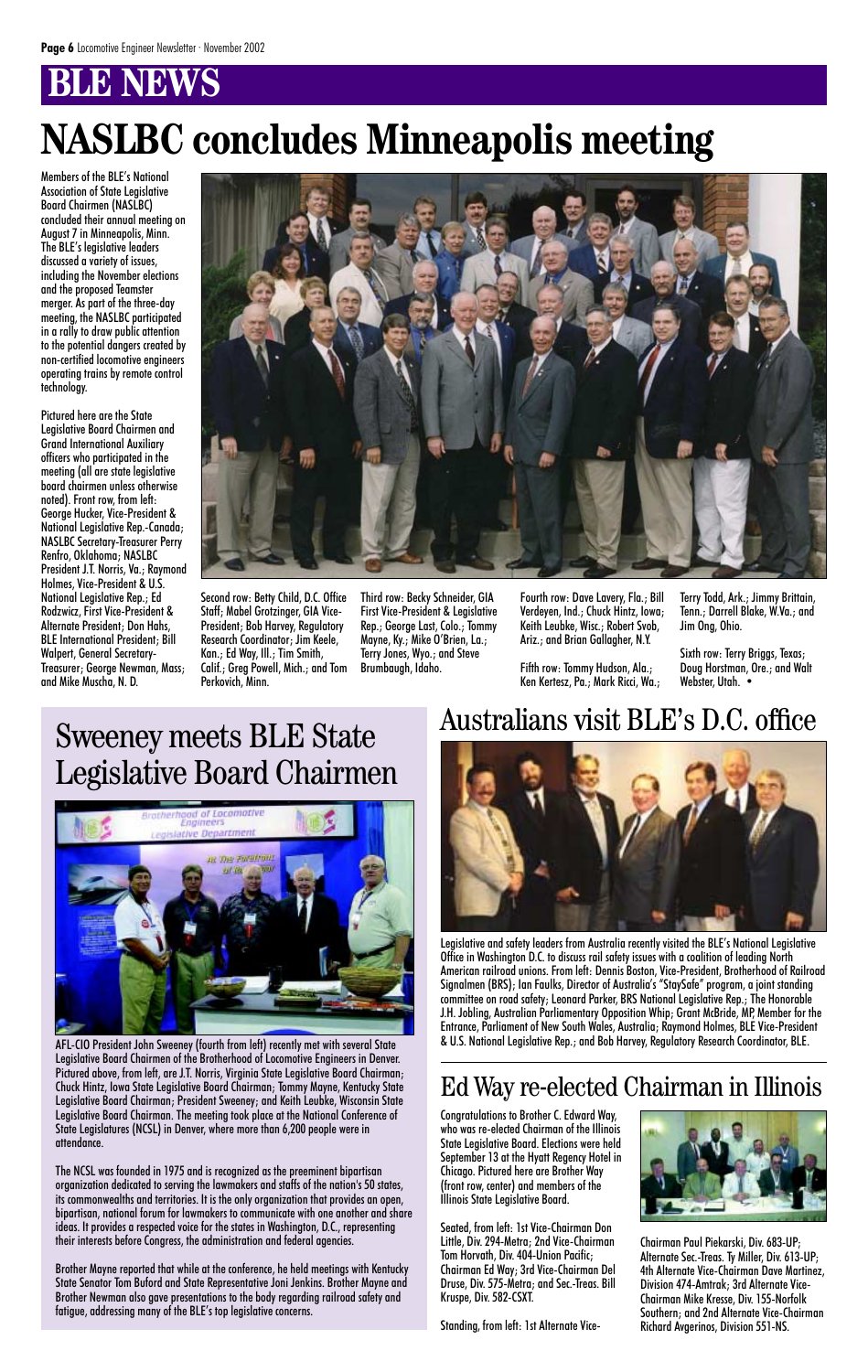# **BENEWS**

# Sweeney meets BLE State Legislative Board Chairmen



AFL-CIO President John Sweeney (fourth from left) recently met with several State Legislative Board Chairmen of the Brotherhood of Locomotive Engineers in Denver. Pictured above, from left, are J.T. Norris, Virginia State Legislative Board Chairman; Chuck Hintz, Iowa State Legislative Board Chairman; Tommy Mayne, Kentucky State Legislative Board Chairman; President Sweeney; and Keith Leubke, Wisconsin State Legislative Board Chairman. The meeting took place at the National Conference of State Legislatures (NCSL) in Denver, where more than 6,200 people were in attendance.

The NCSL was founded in 1975 and is recognized as the preeminent bipartisan organization dedicated to serving the lawmakers and staffs of the nation's 50 states, its commonwealths and territories. It is the only organization that provides an open, bipartisan, national forum for lawmakers to communicate with one another and share ideas. It provides a respected voice for the states in Washington, D.C., representing their interests before Congress, the administration and federal agencies.

Brother Mayne reported that while at the conference, he held meetings with Kentucky State Senator Tom Buford and State Representative Joni Jenkins. Brother Mayne and Brother Newman also gave presentations to the body regarding railroad safety and fatigue, addressing many of the BLE's top legislative concerns.

# **NASLBC concludes Minneapolis meeting**

Sixth row: Terry Briggs, Texas; Doug Horstman, Ore.; and Walt Webster, Utah. •

Members of the BLE's National Association of State Legislative Board Chairmen (NASLBC) concluded their annual meeting on August 7 in Minneapolis, Minn. The BLE's legislative leaders discussed a variety of issues, including the November elections and the proposed Teamster merger. As part of the three-day meeting, the NASLBC participated in a rally to draw public attention to the potential dangers created by non-certified locomotive engineers operating trains by remote control technology.

Pictured here are the State Legislative Board Chairmen and Grand International Auxiliary officers who participated in the meeting (all are state legislative board chairmen unless otherwise noted). Front row, from left: George Hucker, Vice-President & National Legislative Rep.-Canada; NASLBC Secretary-Treasurer Perry Renfro, Oklahoma; NASLBC President J.T. Norris, Va.; Raymond Holmes, Vice-President & U.S. National Legislative Rep.; Ed Rodzwicz, First Vice-President & Alternate President; Don Hahs, BLE International President; Bill Walpert, General Secretary-Treasurer; George Newman, Mass; and Mike Muscha, N. D.



Second row: Betty Child, D.C. Office Staff; Mabel Grotzinger, GIA Vice-President; Bob Harvey, Regulatory Research Coordinator; Jim Keele, Kan.; Ed Way, Ill.; Tim Smith, Calif.; Greg Powell, Mich.; and Tom Perkovich, Minn.

Third row: Becky Schneider, GIA First Vice-President & Legislative Rep.; George Last, Colo.; Tommy Mayne, Ky.; Mike O'Brien, La.; Terry Jones, Wyo.; and Steve Brumbaugh, Idaho.

Fourth row: Dave Lavery, Fla.; Bill Verdeyen, Ind.; Chuck Hintz, Iowa; Keith Leubke, Wisc.; Robert Svob, Ariz.; and Brian Gallagher, N.Y.

Fifth row: Tommy Hudson, Ala.; Ken Kertesz, Pa.; Mark Ricci, Wa.; Terry Todd, Ark.; Jimmy Brittain, Tenn.; Darrell Blake, W.Va.; and Jim Ong, Ohio.

Congratulations to Brother C. Edward Way, who was re-elected Chairman of the Illinois State Legislative Board. Elections were held September 13 at the Hyatt Regency Hotel in Chicago. Pictured here are Brother Way (front row, center) and members of the Illinois State Legislative Board.

Seated, from left: 1st Vice-Chairman Don Little, Div. 294-Metra; 2nd Vice-Chairman Tom Horvath, Div. 404-Union Pacific; Chairman Ed Way; 3rd Vice-Chairman Del Druse, Div. 575-Metra; and Sec.-Treas. Bill Kruspe, Div. 582-CSXT.

Standing, from left: 1st Alternate Vice-



Chairman Paul Piekarski, Div. 683-UP; Alternate Sec.-Treas. Ty Miller, Div. 613-UP; 4th Alternate Vice-Chairman Dave Martinez, Division 474-Amtrak; 3rd Alternate Vice-Chairman Mike Kresse, Div. 155-Norfolk Southern; and 2nd Alternate Vice-Chairman Richard Avgerinos, Division 551-NS.

#### Ed Way re-elected Chairman in Illinois

Legislative and safety leaders from Australia recently visited the BLE's National Legislative Office in Washington D.C. to discuss rail safety issues with a coalition of leading North American railroad unions. From left: Dennis Boston, Vice-President, Brotherhood of Railroad Signalmen (BRS); Ian Faulks, Director of Australia's "StaySafe" program, a joint standing committee on road safety; Leonard Parker, BRS National Legislative Rep.; The Honorable J.H. Jobling, Australian Parliamentary Opposition Whip; Grant McBride, MP, Member for the Entrance, Parliament of New South Wales, Australia; Raymond Holmes, BLE Vice-President & U.S. National Legislative Rep.; and Bob Harvey, Regulatory Research Coordinator, BLE.

### Australians visit BLE's D.C. office

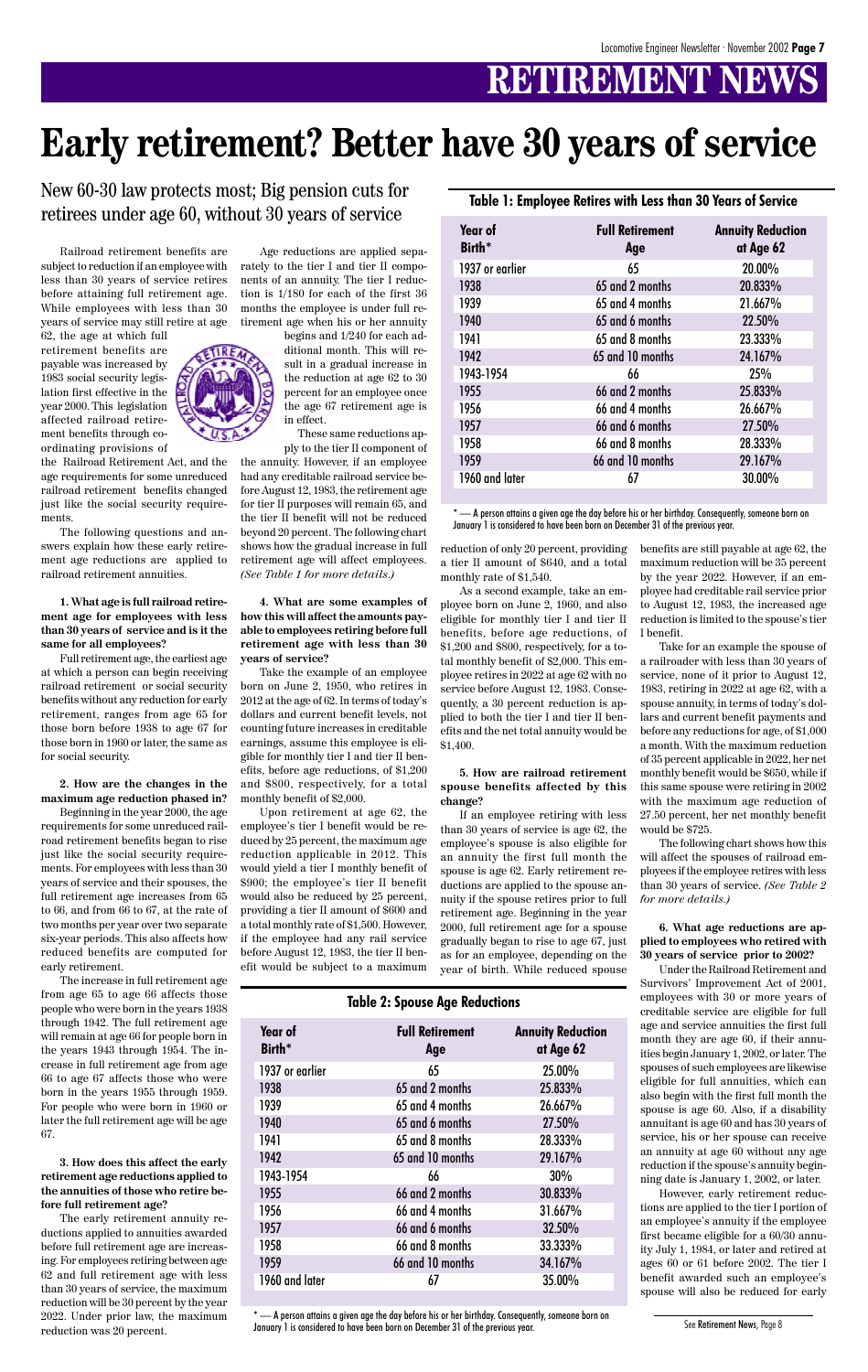# **RETIREMENT NEWS**

Railroad retirement benefits are subject to reduction if an employee with less than 30 years of service retires before attaining full retirement age. While employees with less than 30 years of service may still retire at age

62, the age at which full retirement benefits are payable was increased by 1983 social security legislation first effective in the year 2000. This legislation affected railroad retirement benefits through coordinating provisions of

the Railroad Retirement Act, and the age requirements for some unreduced railroad retirement benefits changed just like the social security requirements.

The following questions and answers explain how these early retirement age reductions are applied to railroad retirement annuities.

**1. What age is full railroad retirement age for employees with less than 30 years of service and is it the same for all employees?**

Full retirement age, the earliest age at which a person can begin receiving railroad retirement or social security benefits without any reduction for early retirement, ranges from age 65 for those born before 1938 to age 67 for those born in 1960 or later, the same as for social security.

#### **2. How are the changes in the maximum age reduction phased in?**

Beginning in the year 2000, the age requirements for some unreduced railroad retirement benefits began to rise just like the social security requirements. For employees with less than 30 years of service and their spouses, the full retirement age increases from 65 to 66, and from 66 to 67, at the rate of two months per year over two separate six-year periods. This also affects how reduced benefits are computed for early retirement.

The increase in full retirement age from age 65 to age 66 affects those people who were born in the years 1938 through 1942. The full retirement age will remain at age 66 for people born in the years 1943 through 1954. The increase in full retirement age from age 66 to age 67 affects those who were born in the years 1955 through 1959. For people who were born in 1960 or later the full retirement age will be age 67.

**3. How does this affect the early retirement age reductions applied to the annuities of those who retire before full retirement age?**

The early retirement annuity reductions applied to annuities awarded before full retirement age are increasing. For employees retiring between age 62 and full retirement age with less than 30 years of service, the maximum reduction will be 30 percent by the year 2022. Under prior law, the maximum reduction was 20 percent.



begins and 1/240 for each additional month. This will result in a gradual increase in the reduction at age 62 to 30 percent for an employee once the age 67 retirement age is in effect.

These same reductions apply to the tier II component of

the annuity. However, if an employee had any creditable railroad service before August 12, 1983, the retirement age for tier II purposes will remain 65, and the tier II benefit will not be reduced beyond 20 percent. The following chart shows how the gradual increase in full retirement age will affect employees. *(See Table 1 for more details.)*

**4. What are some examples of how this will affect the amounts payable to employees retiring before full retirement age with less than 30 years of service?**

Take the example of an employee born on June 2, 1950, who retires in 2012 at the age of 62. In terms of today's dollars and current benefit levels, not counting future increases in creditable earnings, assume this employee is eligible for monthly tier I and tier II benefits, before age reductions, of \$1,200 and \$800, respectively, for a total monthly benefit of \$2,000.

 $^\ast$  — A person attains a given age the day before his or her birthday. Consequently, someone born on January 1 is considered to have been born on December 31 of the previous year.

Upon retirement at age 62, the employee's tier I benefit would be reduced by 25 percent, the maximum age reduction applicable in 2012. This would yield a tier I monthly benefit of \$900; the employee's tier II benefit would also be reduced by 25 percent, providing a tier II amount of \$600 and a total monthly rate of \$1,500. However, if the employee had any rail service before August 12, 1983, the tier II benefit would be subject to a maximum reduction of only 20 percent, providing a tier II amount of \$640, and a total monthly rate of \$1,540.

As a second example, take an employee born on June 2, 1960, and also eligible for monthly tier I and tier II benefits, before age reductions, of \$1,200 and \$800, respectively, for a total monthly benefit of \$2,000. This employee retires in 2022 at age 62 with no service before August 12, 1983. Consequently, a 30 percent reduction is applied to both the tier I and tier II benefits and the net total annuity would be \$1,400.

#### **5. How are railroad retirement spouse benefits affected by this change?**

If an employee retiring with less than 30 years of service is age 62, the employee's spouse is also eligible for an annuity the first full month the spouse is age 62. Early retirement reductions are applied to the spouse annuity if the spouse retires prior to full retirement age. Beginning in the year 2000, full retirement age for a spouse gradually began to rise to age 67, just as for an employee, depending on the year of birth. While reduced spouse

#### benefits are still payable at age 62, the maximum reduction will be 35 percent by the year 2022. However, if an employee had creditable rail service prior to August 12, 1983, the increased age reduction is limited to the spouse's tier I benefit.

Take for an example the spouse of a railroader with less than 30 years of service, none of it prior to August 12, 1983, retiring in 2022 at age 62, with a spouse annuity, in terms of today's dollars and current benefit payments and before any reductions for age, of \$1,000 a month. With the maximum reduction of 35 percent applicable in 2022, her net monthly benefit would be \$650, while if this same spouse were retiring in 2002 with the maximum age reduction of 27.50 percent, her net monthly benefit would be \$725.

The following chart shows how this will affect the spouses of railroad employees if the employee retires with less than 30 years of service. *(See Table 2 for more details.)*

**6. What age reductions are applied to employees who retired with 30 years of service prior to 2002?**

Under the Railroad Retirement and Survivors' Improvement Act of 2001, employees with 30 or more years of creditable service are eligible for full age and service annuities the first full month they are age 60, if their annuities begin January 1, 2002, or later. The spouses of such employees are likewise eligible for full annuities, which can also begin with the first full month the spouse is age 60. Also, if a disability annuitant is age 60 and has 30 years of service, his or her spouse can receive an annuity at age 60 without any age reduction if the spouse's annuity beginning date is January 1, 2002, or later. However, early retirement reductions are applied to the tier I portion of an employee's annuity if the employee first became eligible for a 60/30 annuity July 1, 1984, or later and retired at ages 60 or 61 before 2002. The tier I benefit awarded such an employee's spouse will also be reduced for early



# **Early retirement? Better have 30 years of service**

New 60-30 law protects most; Big pension cuts for retirees under age 60, without 30 years of service

See Retirement News, Page 8

**Table 1: Employee Retires with Less than 30 Years of Service**

| Year of<br>Birth <sup>*</sup> | <b>Full Retirement</b><br>Age | <b>Annuity Reduction</b><br>at Age 62 |
|-------------------------------|-------------------------------|---------------------------------------|
| 1937 or earlier               | 65                            | 20.00%                                |
| 1938                          | 65 and 2 months               | 20.833%                               |
| 1939                          | 65 and 4 months               | 21.667%                               |
| 1940                          | 65 and 6 months               | 22.50%                                |
| 1941                          | 65 and 8 months               | 23.333%                               |
| 1942                          | 65 and 10 months              | 24.167%                               |
| 1943-1954                     | 66                            | 25%                                   |
| 1955                          | 66 and 2 months               | 25.833%                               |
| 1956                          | 66 and 4 months               | 26.667%                               |
| 1957                          | 66 and 6 months               | 27.50%                                |
| 1958                          | 66 and 8 months               | 28.333%                               |
| 1959                          | 66 and 10 months              | 29.167%                               |
| 1960 and later                | 67                            | 30.00%                                |
|                               |                               |                                       |

#### **Table 2: Spouse Age Reductions**

| Year of<br>Birth* | <b>Full Retirement</b><br>Age | <b>Annuity Reduction</b><br>at Age 62 |
|-------------------|-------------------------------|---------------------------------------|
| 1937 or earlier   | 65                            | 25.00%                                |
| 1938              | 65 and 2 months               | 25.833%                               |
| 1939              | 65 and 4 months               | 26.667%                               |
| 1940              | 65 and 6 months               | 27.50%                                |
| 1941              | 65 and 8 months               | 28.333%                               |
| 1942              | 65 and 10 months              | 29.167%                               |
| 1943-1954         | 66                            | 30%                                   |
| 1955              | 66 and 2 months               | 30.833%                               |
| 1956              | 66 and 4 months               | 31.667%                               |
| 1957              | 66 and 6 months               | 32.50%                                |
| 1958              | 66 and 8 months               | 33.333%                               |
| 1959              | 66 and 10 months              | 34.167%                               |
| 1960 and later    | 67                            | 35.00%                                |
|                   |                               |                                       |

\* — A person attains a given age the day before his or her birthday. Consequently, someone born on January 1 is considered to have been born on December 31 of the previous year.